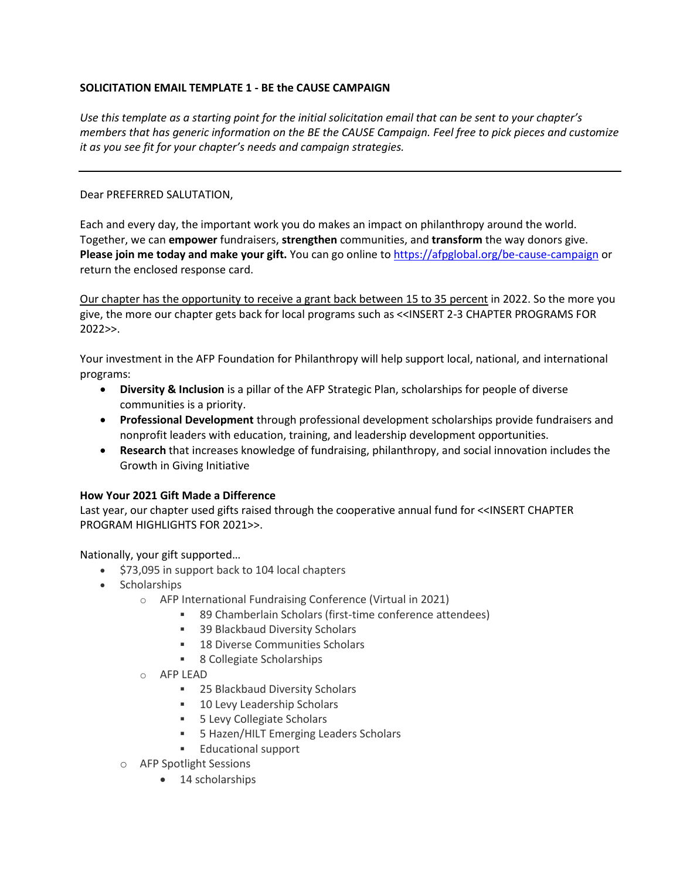## **SOLICITATION EMAIL TEMPLATE 1 - BE the CAUSE CAMPAIGN**

*Use this template as a starting point for the initial solicitation email that can be sent to your chapter's members that has generic information on the BE the CAUSE Campaign. Feel free to pick pieces and customize it as you see fit for your chapter's needs and campaign strategies.* 

## Dear PREFERRED SALUTATION,

Each and every day, the important work you do makes an impact on philanthropy around the world. Together, we can **empower** fundraisers, **strengthen** communities, and **transform** the way donors give. **Please join me today and make your gift.** You can go online to <https://afpglobal.org/be-cause-campaign> or return the enclosed response card.

Our chapter has the opportunity to receive a grant back between 15 to 35 percent in 2022. So the more you give, the more our chapter gets back for local programs such as <<INSERT 2-3 CHAPTER PROGRAMS FOR 2022>>.

Your investment in the AFP Foundation for Philanthropy will help support local, national, and international programs:

- **Diversity & Inclusion** is a pillar of the AFP Strategic Plan, scholarships for people of diverse communities is a priority.
- **Professional Development** through professional development scholarships provide fundraisers and nonprofit leaders with education, training, and leadership development opportunities.
- **Research** that increases knowledge of fundraising, philanthropy, and social innovation includes the Growth in Giving Initiative

## **How Your 2021 Gift Made a Difference**

Last year, our chapter used gifts raised through the cooperative annual fund for <<INSERT CHAPTER PROGRAM HIGHLIGHTS FOR 2021>>.

Nationally, your gift supported…

- \$73,095 in support back to 104 local chapters
- Scholarships
	- o AFP International Fundraising Conference (Virtual in 2021)
		- 89 Chamberlain Scholars (first-time conference attendees)
		- 39 Blackbaud Diversity Scholars
		- 18 Diverse Communities Scholars
		- 8 Collegiate Scholarships
	- o AFP LEAD
		- 25 Blackbaud Diversity Scholars
		- 10 Levy Leadership Scholars
		- 5 Levy Collegiate Scholars
		- 5 Hazen/HILT Emerging Leaders Scholars
		- Educational support
	- o AFP Spotlight Sessions
		- 14 scholarships